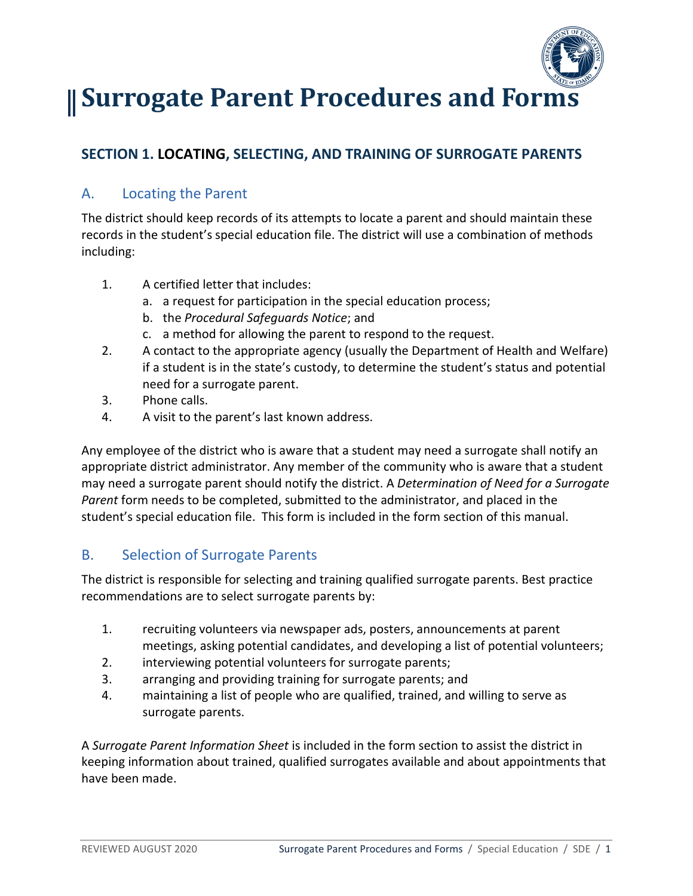

# **Surrogate Parent Procedures and Forms**

## **SECTION 1. LOCATING, SELECTING, AND TRAINING OF SURROGATE PARENTS**

#### A. Locating the Parent

The district should keep records of its attempts to locate a parent and should maintain these records in the student's special education file. The district will use a combination of methods including:

- 1. A certified letter that includes:
	- a. a request for participation in the special education process;
	- b. the *Procedural Safeguards Notice*; and
	- c. a method for allowing the parent to respond to the request.
- 2. A contact to the appropriate agency (usually the Department of Health and Welfare) if a student is in the state's custody, to determine the student's status and potential need for a surrogate parent.
- 3. Phone calls.
- 4. A visit to the parent's last known address.

Any employee of the district who is aware that a student may need a surrogate shall notify an appropriate district administrator. Any member of the community who is aware that a student may need a surrogate parent should notify the district. A *Determination of Need for a Surrogate Parent* form needs to be completed, submitted to the administrator, and placed in the student's special education file. This form is included in the form section of this manual.

### B. Selection of Surrogate Parents

The district is responsible for selecting and training qualified surrogate parents. Best practice recommendations are to select surrogate parents by:

- 1. recruiting volunteers via newspaper ads, posters, announcements at parent meetings, asking potential candidates, and developing a list of potential volunteers;
- 2. interviewing potential volunteers for surrogate parents;
- 3. arranging and providing training for surrogate parents; and
- 4. maintaining a list of people who are qualified, trained, and willing to serve as surrogate parents.

A *Surrogate Parent Information Sheet* is included in the form section to assist the district in keeping information about trained, qualified surrogates available and about appointments that have been made.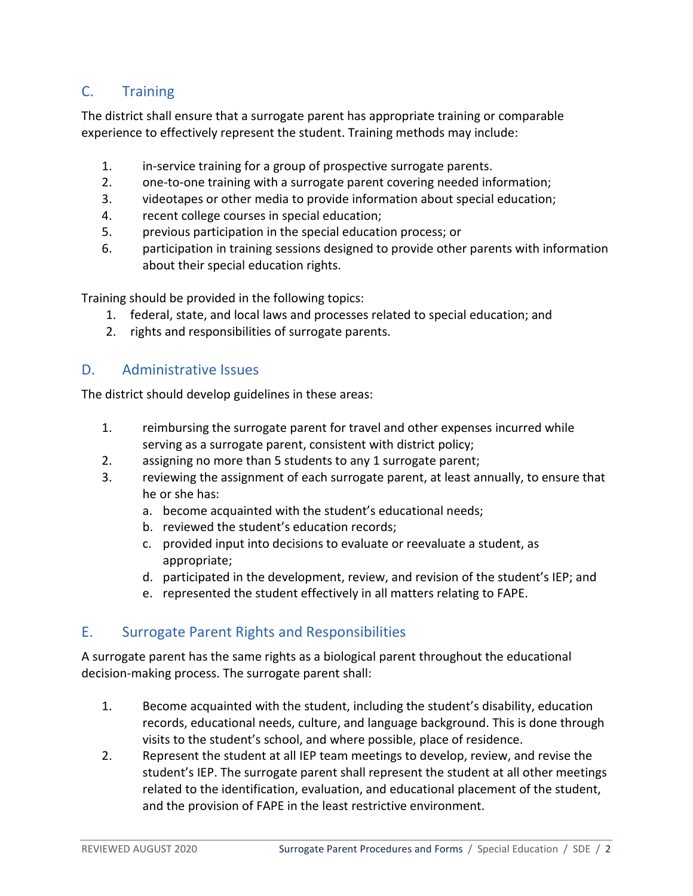#### C. Training

The district shall ensure that a surrogate parent has appropriate training or comparable experience to effectively represent the student. Training methods may include:

- 1. in-service training for a group of prospective surrogate parents.
- 2. one-to-one training with a surrogate parent covering needed information;
- 3. videotapes or other media to provide information about special education;
- 4. recent college courses in special education;
- 5. previous participation in the special education process; or
- 6. participation in training sessions designed to provide other parents with information about their special education rights.

Training should be provided in the following topics:

- 1. federal, state, and local laws and processes related to special education; and
- 2. rights and responsibilities of surrogate parents.

#### D. Administrative Issues

The district should develop guidelines in these areas:

- 1. reimbursing the surrogate parent for travel and other expenses incurred while serving as a surrogate parent, consistent with district policy;
- 2. assigning no more than 5 students to any 1 surrogate parent;
- 3. reviewing the assignment of each surrogate parent, at least annually, to ensure that he or she has:
	- a. become acquainted with the student's educational needs;
	- b. reviewed the student's education records;
	- c. provided input into decisions to evaluate or reevaluate a student, as appropriate;
	- d. participated in the development, review, and revision of the student's IEP; and
	- e. represented the student effectively in all matters relating to FAPE.

#### E. Surrogate Parent Rights and Responsibilities

A surrogate parent has the same rights as a biological parent throughout the educational decision-making process. The surrogate parent shall:

- 1. Become acquainted with the student, including the student's disability, education records, educational needs, culture, and language background. This is done through visits to the student's school, and where possible, place of residence.
- 2. Represent the student at all IEP team meetings to develop, review, and revise the student's IEP. The surrogate parent shall represent the student at all other meetings related to the identification, evaluation, and educational placement of the student, and the provision of FAPE in the least restrictive environment.